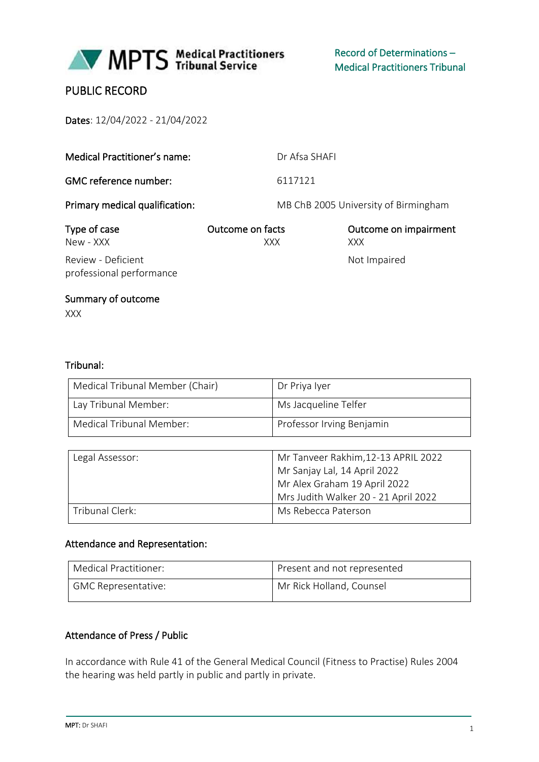

# PUBLIC RECORD

Dates: 12/04/2022 - 21/04/2022

| <b>Medical Practitioner's name:</b>            | Dr Afsa SHAFI           |                                      |
|------------------------------------------------|-------------------------|--------------------------------------|
| GMC reference number:                          | 6117121                 |                                      |
| Primary medical qualification:                 |                         | MB ChB 2005 University of Birmingham |
| Type of case<br>New - XXX                      | Outcome on facts<br>XXX | Outcome on impairment<br>XXX         |
| Review - Deficient<br>professional performance |                         | Not Impaired                         |

#### Summary of outcome

XXX

### Tribunal:

| Medical Tribunal Member (Chair) | Dr Priya Iyer             |
|---------------------------------|---------------------------|
| Lay Tribunal Member:            | Ms Jacqueline Telfer      |
| Medical Tribunal Member:        | Professor Irving Benjamin |

| Legal Assessor: | Mr Tanveer Rakhim, 12-13 APRIL 2022  |
|-----------------|--------------------------------------|
|                 | Mr Sanjay Lal, 14 April 2022         |
|                 | Mr Alex Graham 19 April 2022         |
|                 | Mrs Judith Walker 20 - 21 April 2022 |
| Tribunal Clerk: | Ms Rebecca Paterson                  |

### Attendance and Representation:

| Medical Practitioner:      | Present and not represented |
|----------------------------|-----------------------------|
| <b>GMC Representative:</b> | Mr Rick Holland, Counsel    |

### Attendance of Press / Public

In accordance with Rule 41 of the General Medical Council (Fitness to Practise) Rules 2004 the hearing was held partly in public and partly in private.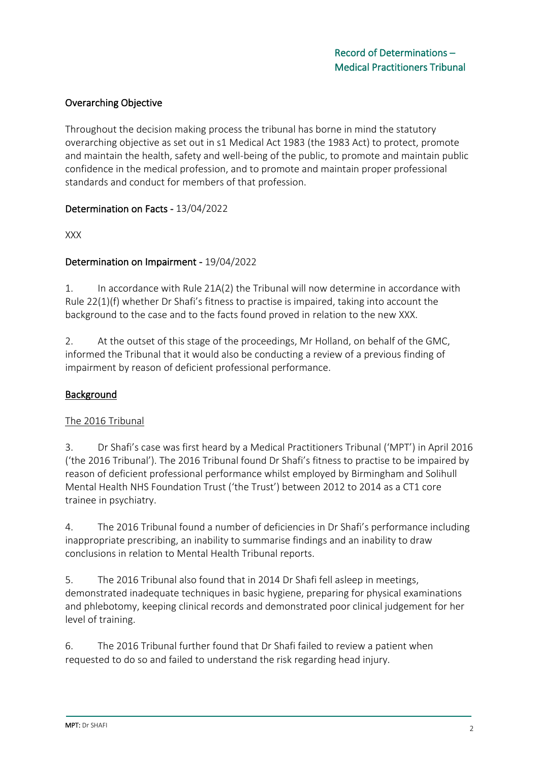# Overarching Objective

Throughout the decision making process the tribunal has borne in mind the statutory overarching objective as set out in s1 Medical Act 1983 (the 1983 Act) to protect, promote and maintain the health, safety and well-being of the public, to promote and maintain public confidence in the medical profession, and to promote and maintain proper professional standards and conduct for members of that profession.

### Determination on Facts - 13/04/2022

XXX

#### Determination on Impairment - 19/04/2022

1. In accordance with Rule 21A(2) the Tribunal will now determine in accordance with Rule 22(1)(f) whether Dr Shafi's fitness to practise is impaired, taking into account the background to the case and to the facts found proved in relation to the new XXX.

2. At the outset of this stage of the proceedings, Mr Holland, on behalf of the GMC, informed the Tribunal that it would also be conducting a review of a previous finding of impairment by reason of deficient professional performance.

### Background

#### The 2016 Tribunal

3. Dr Shafi's case was first heard by a Medical Practitioners Tribunal ('MPT') in April 2016 ('the 2016 Tribunal'). The 2016 Tribunal found Dr Shafi's fitness to practise to be impaired by reason of deficient professional performance whilst employed by Birmingham and Solihull Mental Health NHS Foundation Trust ('the Trust') between 2012 to 2014 as a CT1 core trainee in psychiatry.

4. The 2016 Tribunal found a number of deficiencies in Dr Shafi's performance including inappropriate prescribing, an inability to summarise findings and an inability to draw conclusions in relation to Mental Health Tribunal reports.

5. The 2016 Tribunal also found that in 2014 Dr Shafi fell asleep in meetings, demonstrated inadequate techniques in basic hygiene, preparing for physical examinations and phlebotomy, keeping clinical records and demonstrated poor clinical judgement for her level of training.

6. The 2016 Tribunal further found that Dr Shafi failed to review a patient when requested to do so and failed to understand the risk regarding head injury.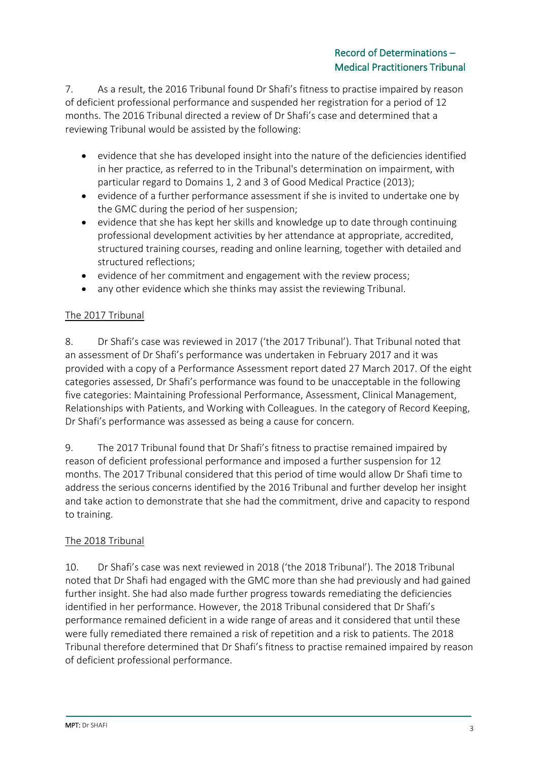7. As a result, the 2016 Tribunal found Dr Shafi's fitness to practise impaired by reason of deficient professional performance and suspended her registration for a period of 12 months. The 2016 Tribunal directed a review of Dr Shafi's case and determined that a reviewing Tribunal would be assisted by the following:

- evidence that she has developed insight into the nature of the deficiencies identified in her practice, as referred to in the Tribunal's determination on impairment, with particular regard to Domains 1, 2 and 3 of Good Medical Practice (2013);
- evidence of a further performance assessment if she is invited to undertake one by the GMC during the period of her suspension;
- evidence that she has kept her skills and knowledge up to date through continuing professional development activities by her attendance at appropriate, accredited, structured training courses, reading and online learning, together with detailed and structured reflections;
- evidence of her commitment and engagement with the review process;
- any other evidence which she thinks may assist the reviewing Tribunal.

### The 2017 Tribunal

8. Dr Shafi's case was reviewed in 2017 ('the 2017 Tribunal'). That Tribunal noted that an assessment of Dr Shafi's performance was undertaken in February 2017 and it was provided with a copy of a Performance Assessment report dated 27 March 2017. Of the eight categories assessed, Dr Shafi's performance was found to be unacceptable in the following five categories: Maintaining Professional Performance, Assessment, Clinical Management, Relationships with Patients, and Working with Colleagues. In the category of Record Keeping, Dr Shafi's performance was assessed as being a cause for concern.

9. The 2017 Tribunal found that Dr Shafi's fitness to practise remained impaired by reason of deficient professional performance and imposed a further suspension for 12 months. The 2017 Tribunal considered that this period of time would allow Dr Shafi time to address the serious concerns identified by the 2016 Tribunal and further develop her insight and take action to demonstrate that she had the commitment, drive and capacity to respond to training.

### The 2018 Tribunal

10. Dr Shafi's case was next reviewed in 2018 ('the 2018 Tribunal'). The 2018 Tribunal noted that Dr Shafi had engaged with the GMC more than she had previously and had gained further insight. She had also made further progress towards remediating the deficiencies identified in her performance. However, the 2018 Tribunal considered that Dr Shafi's performance remained deficient in a wide range of areas and it considered that until these were fully remediated there remained a risk of repetition and a risk to patients. The 2018 Tribunal therefore determined that Dr Shafi's fitness to practise remained impaired by reason of deficient professional performance.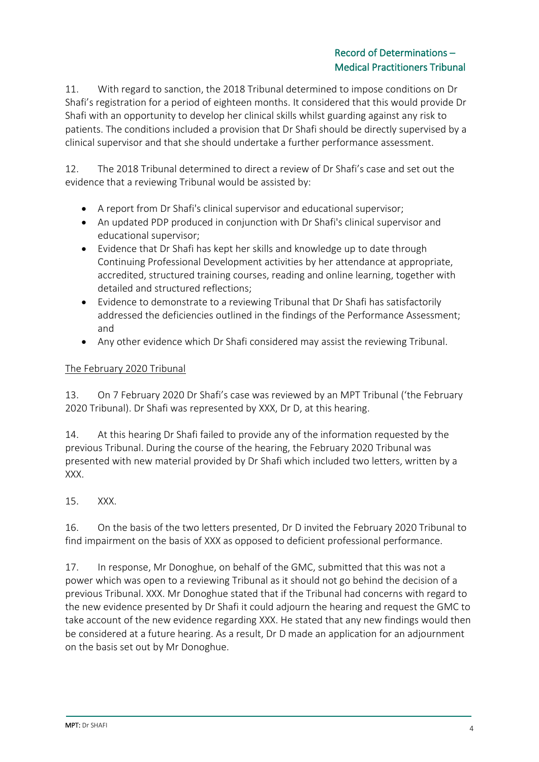11. With regard to sanction, the 2018 Tribunal determined to impose conditions on Dr Shafi's registration for a period of eighteen months. It considered that this would provide Dr Shafi with an opportunity to develop her clinical skills whilst guarding against any risk to patients. The conditions included a provision that Dr Shafi should be directly supervised by a clinical supervisor and that she should undertake a further performance assessment.

12. The 2018 Tribunal determined to direct a review of Dr Shafi's case and set out the evidence that a reviewing Tribunal would be assisted by:

- A report from Dr Shafi's clinical supervisor and educational supervisor;
- An updated PDP produced in conjunction with Dr Shafi's clinical supervisor and educational supervisor;
- Evidence that Dr Shafi has kept her skills and knowledge up to date through Continuing Professional Development activities by her attendance at appropriate, accredited, structured training courses, reading and online learning, together with detailed and structured reflections;
- Evidence to demonstrate to a reviewing Tribunal that Dr Shafi has satisfactorily addressed the deficiencies outlined in the findings of the Performance Assessment; and
- Any other evidence which Dr Shafi considered may assist the reviewing Tribunal.

### The February 2020 Tribunal

13. On 7 February 2020 Dr Shafi's case was reviewed by an MPT Tribunal ('the February 2020 Tribunal). Dr Shafi was represented by XXX, Dr D, at this hearing.

14. At this hearing Dr Shafi failed to provide any of the information requested by the previous Tribunal. During the course of the hearing, the February 2020 Tribunal was presented with new material provided by Dr Shafi which included two letters, written by a XXX.

### 15. XXX.

16. On the basis of the two letters presented, Dr D invited the February 2020 Tribunal to find impairment on the basis of XXX as opposed to deficient professional performance.

17. In response, Mr Donoghue, on behalf of the GMC, submitted that this was not a power which was open to a reviewing Tribunal as it should not go behind the decision of a previous Tribunal. XXX. Mr Donoghue stated that if the Tribunal had concerns with regard to the new evidence presented by Dr Shafi it could adjourn the hearing and request the GMC to take account of the new evidence regarding XXX. He stated that any new findings would then be considered at a future hearing. As a result, Dr D made an application for an adjournment on the basis set out by Mr Donoghue.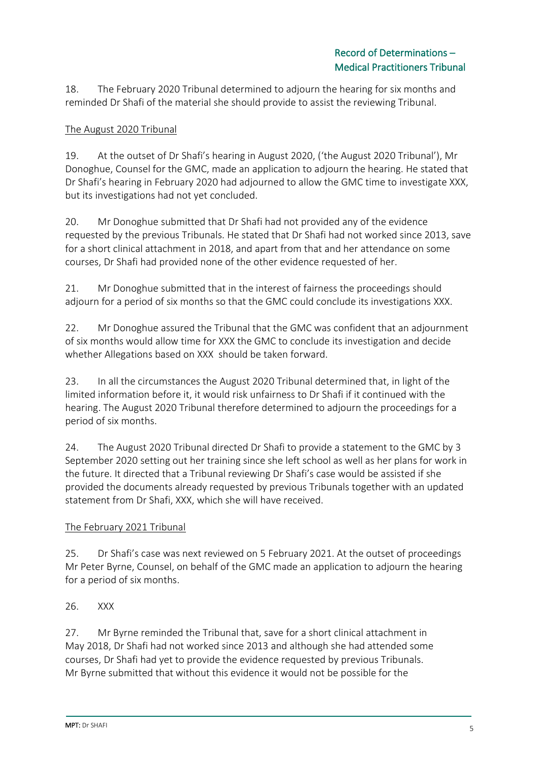18. The February 2020 Tribunal determined to adjourn the hearing for six months and reminded Dr Shafi of the material she should provide to assist the reviewing Tribunal.

### The August 2020 Tribunal

19. At the outset of Dr Shafi's hearing in August 2020, ('the August 2020 Tribunal'), Mr Donoghue, Counsel for the GMC, made an application to adjourn the hearing. He stated that Dr Shafi's hearing in February 2020 had adjourned to allow the GMC time to investigate XXX, but its investigations had not yet concluded.

20. Mr Donoghue submitted that Dr Shafi had not provided any of the evidence requested by the previous Tribunals. He stated that Dr Shafi had not worked since 2013, save for a short clinical attachment in 2018, and apart from that and her attendance on some courses, Dr Shafi had provided none of the other evidence requested of her.

21. Mr Donoghue submitted that in the interest of fairness the proceedings should adjourn for a period of six months so that the GMC could conclude its investigations XXX.

22. Mr Donoghue assured the Tribunal that the GMC was confident that an adjournment of six months would allow time for XXX the GMC to conclude its investigation and decide whether Allegations based on XXX should be taken forward.

23. In all the circumstances the August 2020 Tribunal determined that, in light of the limited information before it, it would risk unfairness to Dr Shafi if it continued with the hearing. The August 2020 Tribunal therefore determined to adjourn the proceedings for a period of six months.

24. The August 2020 Tribunal directed Dr Shafi to provide a statement to the GMC by 3 September 2020 setting out her training since she left school as well as her plans for work in the future. It directed that a Tribunal reviewing Dr Shafi's case would be assisted if she provided the documents already requested by previous Tribunals together with an updated statement from Dr Shafi, XXX, which she will have received.

### The February 2021 Tribunal

25. Dr Shafi's case was next reviewed on 5 February 2021. At the outset of proceedings Mr Peter Byrne, Counsel, on behalf of the GMC made an application to adjourn the hearing for a period of six months.

### 26. XXX

27. Mr Byrne reminded the Tribunal that, save for a short clinical attachment in May 2018, Dr Shafi had not worked since 2013 and although she had attended some courses, Dr Shafi had yet to provide the evidence requested by previous Tribunals. Mr Byrne submitted that without this evidence it would not be possible for the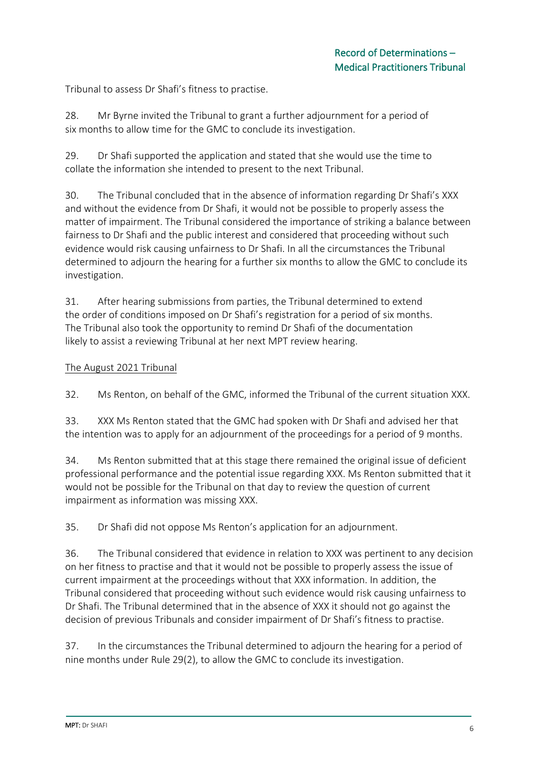Tribunal to assess Dr Shafi's fitness to practise.

28. Mr Byrne invited the Tribunal to grant a further adjournment for a period of six months to allow time for the GMC to conclude its investigation.

29. Dr Shafi supported the application and stated that she would use the time to collate the information she intended to present to the next Tribunal.

30. The Tribunal concluded that in the absence of information regarding Dr Shafi's XXX and without the evidence from Dr Shafi, it would not be possible to properly assess the matter of impairment. The Tribunal considered the importance of striking a balance between fairness to Dr Shafi and the public interest and considered that proceeding without such evidence would risk causing unfairness to Dr Shafi. In all the circumstances the Tribunal determined to adjourn the hearing for a further six months to allow the GMC to conclude its investigation.

31. After hearing submissions from parties, the Tribunal determined to extend the order of conditions imposed on Dr Shafi's registration for a period of six months. The Tribunal also took the opportunity to remind Dr Shafi of the documentation likely to assist a reviewing Tribunal at her next MPT review hearing.

#### The August 2021 Tribunal

32. Ms Renton, on behalf of the GMC, informed the Tribunal of the current situation XXX.

33. XXX Ms Renton stated that the GMC had spoken with Dr Shafi and advised her that the intention was to apply for an adjournment of the proceedings for a period of 9 months.

34. Ms Renton submitted that at this stage there remained the original issue of deficient professional performance and the potential issue regarding XXX. Ms Renton submitted that it would not be possible for the Tribunal on that day to review the question of current impairment as information was missing XXX.

35. Dr Shafi did not oppose Ms Renton's application for an adjournment.

36. The Tribunal considered that evidence in relation to XXX was pertinent to any decision on her fitness to practise and that it would not be possible to properly assess the issue of current impairment at the proceedings without that XXX information. In addition, the Tribunal considered that proceeding without such evidence would risk causing unfairness to Dr Shafi. The Tribunal determined that in the absence of XXX it should not go against the decision of previous Tribunals and consider impairment of Dr Shafi's fitness to practise.

37. In the circumstances the Tribunal determined to adjourn the hearing for a period of nine months under Rule 29(2), to allow the GMC to conclude its investigation.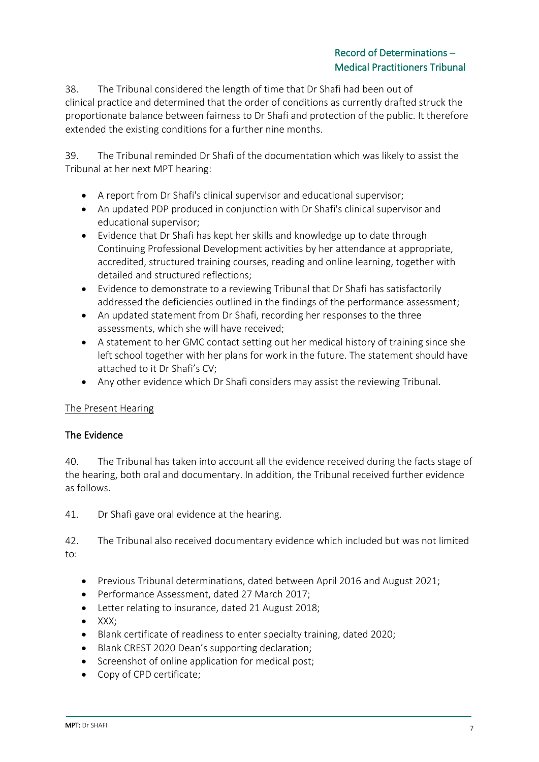# Record of Determinations – Medical Practitioners Tribunal

38. The Tribunal considered the length of time that Dr Shafi had been out of clinical practice and determined that the order of conditions as currently drafted struck the proportionate balance between fairness to Dr Shafi and protection of the public. It therefore extended the existing conditions for a further nine months.

39. The Tribunal reminded Dr Shafi of the documentation which was likely to assist the Tribunal at her next MPT hearing:

- A report from Dr Shafi's clinical supervisor and educational supervisor;
- An updated PDP produced in conjunction with Dr Shafi's clinical supervisor and educational supervisor;
- Evidence that Dr Shafi has kept her skills and knowledge up to date through Continuing Professional Development activities by her attendance at appropriate, accredited, structured training courses, reading and online learning, together with detailed and structured reflections;
- Evidence to demonstrate to a reviewing Tribunal that Dr Shafi has satisfactorily addressed the deficiencies outlined in the findings of the performance assessment;
- An updated statement from Dr Shafi, recording her responses to the three assessments, which she will have received;
- A statement to her GMC contact setting out her medical history of training since she left school together with her plans for work in the future. The statement should have attached to it Dr Shafi's CV;
- Any other evidence which Dr Shafi considers may assist the reviewing Tribunal.

### The Present Hearing

### The Evidence

40. The Tribunal has taken into account all the evidence received during the facts stage of the hearing, both oral and documentary. In addition, the Tribunal received further evidence as follows.

41. Dr Shafi gave oral evidence at the hearing.

42. The Tribunal also received documentary evidence which included but was not limited to:

- Previous Tribunal determinations, dated between April 2016 and August 2021;
- Performance Assessment, dated 27 March 2017;
- Letter relating to insurance, dated 21 August 2018;
- $\bullet$  XXX;
- Blank certificate of readiness to enter specialty training, dated 2020;
- Blank CREST 2020 Dean's supporting declaration;
- Screenshot of online application for medical post;
- Copy of CPD certificate;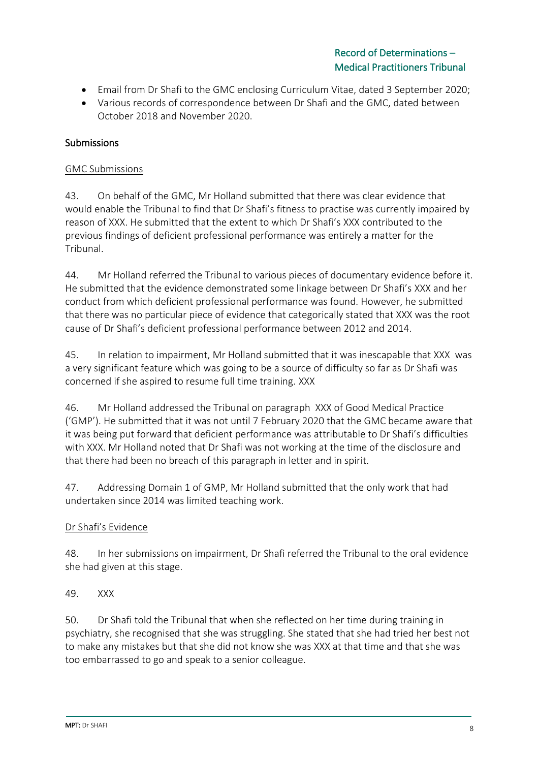- Email from Dr Shafi to the GMC enclosing Curriculum Vitae, dated 3 September 2020;
- Various records of correspondence between Dr Shafi and the GMC, dated between October 2018 and November 2020.

### Submissions

#### GMC Submissions

43. On behalf of the GMC, Mr Holland submitted that there was clear evidence that would enable the Tribunal to find that Dr Shafi's fitness to practise was currently impaired by reason of XXX. He submitted that the extent to which Dr Shafi's XXX contributed to the previous findings of deficient professional performance was entirely a matter for the Tribunal.

44. Mr Holland referred the Tribunal to various pieces of documentary evidence before it. He submitted that the evidence demonstrated some linkage between Dr Shafi's XXX and her conduct from which deficient professional performance was found. However, he submitted that there was no particular piece of evidence that categorically stated that XXX was the root cause of Dr Shafi's deficient professional performance between 2012 and 2014.

45. In relation to impairment, Mr Holland submitted that it was inescapable that XXX was a very significant feature which was going to be a source of difficulty so far as Dr Shafi was concerned if she aspired to resume full time training. XXX

46. Mr Holland addressed the Tribunal on paragraph XXX of Good Medical Practice ('GMP'). He submitted that it was not until 7 February 2020 that the GMC became aware that it was being put forward that deficient performance was attributable to Dr Shafi's difficulties with XXX. Mr Holland noted that Dr Shafi was not working at the time of the disclosure and that there had been no breach of this paragraph in letter and in spirit.

47. Addressing Domain 1 of GMP, Mr Holland submitted that the only work that had undertaken since 2014 was limited teaching work.

### Dr Shafi's Evidence

48. In her submissions on impairment, Dr Shafi referred the Tribunal to the oral evidence she had given at this stage.

### 49. XXX

50. Dr Shafi told the Tribunal that when she reflected on her time during training in psychiatry, she recognised that she was struggling. She stated that she had tried her best not to make any mistakes but that she did not know she was XXX at that time and that she was too embarrassed to go and speak to a senior colleague.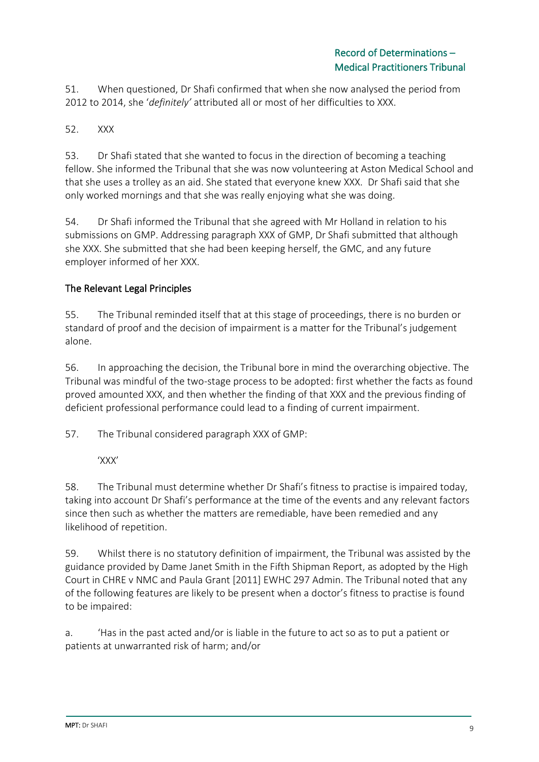51. When questioned, Dr Shafi confirmed that when she now analysed the period from 2012 to 2014, she '*definitely'* attributed all or most of her difficulties to XXX.

52. XXX

53. Dr Shafi stated that she wanted to focus in the direction of becoming a teaching fellow. She informed the Tribunal that she was now volunteering at Aston Medical School and that she uses a trolley as an aid. She stated that everyone knew XXX. Dr Shafi said that she only worked mornings and that she was really enjoying what she was doing.

54. Dr Shafi informed the Tribunal that she agreed with Mr Holland in relation to his submissions on GMP. Addressing paragraph XXX of GMP, Dr Shafi submitted that although she XXX. She submitted that she had been keeping herself, the GMC, and any future employer informed of her XXX.

# The Relevant Legal Principles

55. The Tribunal reminded itself that at this stage of proceedings, there is no burden or standard of proof and the decision of impairment is a matter for the Tribunal's judgement alone.

56. In approaching the decision, the Tribunal bore in mind the overarching objective. The Tribunal was mindful of the two-stage process to be adopted: first whether the facts as found proved amounted XXX, and then whether the finding of that XXX and the previous finding of deficient professional performance could lead to a finding of current impairment.

57. The Tribunal considered paragraph XXX of GMP:

# 'XXX'

58. The Tribunal must determine whether Dr Shafi's fitness to practise is impaired today, taking into account Dr Shafi's performance at the time of the events and any relevant factors since then such as whether the matters are remediable, have been remedied and any likelihood of repetition.

59. Whilst there is no statutory definition of impairment, the Tribunal was assisted by the guidance provided by Dame Janet Smith in the Fifth Shipman Report, as adopted by the High Court in CHRE v NMC and Paula Grant [2011] EWHC 297 Admin. The Tribunal noted that any of the following features are likely to be present when a doctor's fitness to practise is found to be impaired:

a. 'Has in the past acted and/or is liable in the future to act so as to put a patient or patients at unwarranted risk of harm; and/or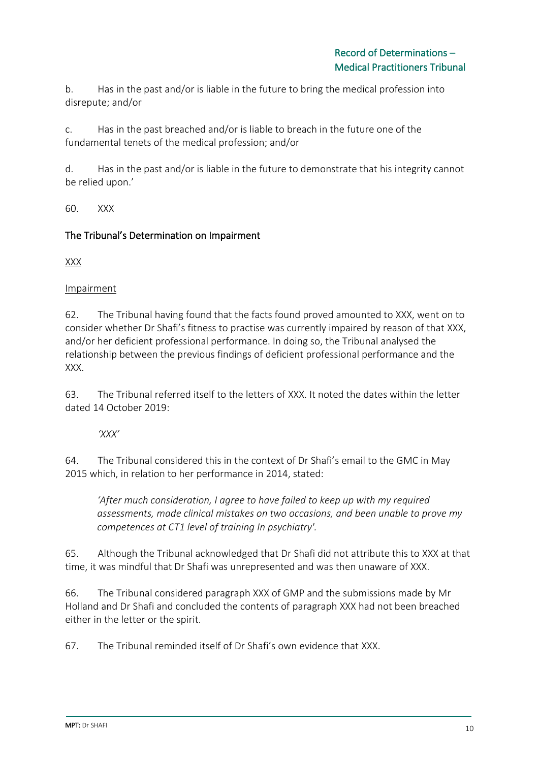b. Has in the past and/or is liable in the future to bring the medical profession into disrepute; and/or

c. Has in the past breached and/or is liable to breach in the future one of the fundamental tenets of the medical profession; and/or

d. Has in the past and/or is liable in the future to demonstrate that his integrity cannot be relied upon.'

60. XXX

### The Tribunal's Determination on Impairment

XXX

Impairment

62. The Tribunal having found that the facts found proved amounted to XXX, went on to consider whether Dr Shafi's fitness to practise was currently impaired by reason of that XXX, and/or her deficient professional performance. In doing so, the Tribunal analysed the relationship between the previous findings of deficient professional performance and the XXX.

63. The Tribunal referred itself to the letters of XXX. It noted the dates within the letter dated 14 October 2019:

*'XXX'*

64. The Tribunal considered this in the context of Dr Shafi's email to the GMC in May 2015 which, in relation to her performance in 2014, stated:

*'After much consideration, I agree to have failed to keep up with my required assessments, made clinical mistakes on two occasions, and been unable to prove my competences at CT1 level of training In psychiatry'.*

65. Although the Tribunal acknowledged that Dr Shafi did not attribute this to XXX at that time, it was mindful that Dr Shafi was unrepresented and was then unaware of XXX.

66. The Tribunal considered paragraph XXX of GMP and the submissions made by Mr Holland and Dr Shafi and concluded the contents of paragraph XXX had not been breached either in the letter or the spirit.

67. The Tribunal reminded itself of Dr Shafi's own evidence that XXX.